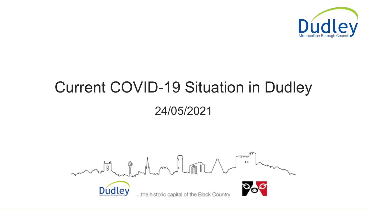# Current COVID-19 Situation in Dudley 24/05/2021



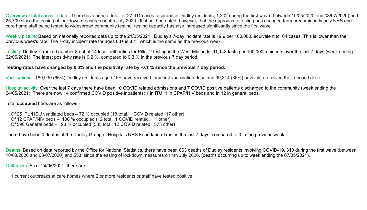Overview of total cases to date: There have been a total of 27,011 cases recorded in Dudley residents, 1,302 during the first wave (between 10/03/2020 and 03/07/2020) and 25,709 since the easing of lockdown measures on 4th July 2020. It should be noted, however, that the approach to testing has changed from predominantly only NHS and care home staff being tested to widespread community testing, testing capacity has also increased significantly since the first wave.

Weekly picture: Based on nationally reported data up to the 21/05/2021 , Dudley's 7-day incident rate is 19.9 per 100,000, equivalent to 64 cases. This is lower than the previous week's rate. The 7-day incident rate for ages 60+ is 8.4 , which is the same as the previous week.

Of 25 ITU/HDU ventilated beds – 72 % occupied (18 total, 1 COVID related, 17 other) Of 12 CPAP/NIV beds - 100 % occupied (12 total, 1 COVID related, 11 other) Of 596 General beds - 98 % occupied (585 total, 12 COVID related, 573 other)

Testing: Dudley is ranked number 8 out of 14 local authorities for Pillar 2 testing in the West Midlands, 11,148 tests per 100,000 residents over the last 7 days (week ending 22/05/2021). The latest positivity rate is 0.2 %, compared to 0.3 % in the previous 7 day period.

## Testing rates have changed by 6.0% and the positivity rate by -0.1 % since the previous 7 day period.

Vaccinations: 180,930 (66%) Dudley residents aged 15+ have received their first vaccination dose and 99,814 (36%) have also received their second dose.

Hospital activity: Over the last 7 days there have been 10 COVID related admissions and 7 COVID positive patients discharged to the community (week ending the 24/05/2021). There are now 14 confirmed COVID positive inpatients; 1 in ITU, 1 in CPAP/NIV beds and in 12 in general beds.

Total occupied beds are as follows:-

There have been 0 deaths at the Dudley Group of Hospitals NHS Foundation Trust in the last 7 days, compared to 0 in the previous week.

Deaths: Based on data reported by the Office for National Statistics, there have been 863 deaths of Dudley residents involving COVID-19, 310 during the first wave (between 10/03/2020 and 03/07/2020) and 553 since the easing of lockdown measures on 4th July 2020. (deaths occurring up to week ending the 07/05/2021).

Outbreaks: As at 24/05/2021, there are:-

1 current outbreaks at care homes where 2 or more residents or staff have tested positive.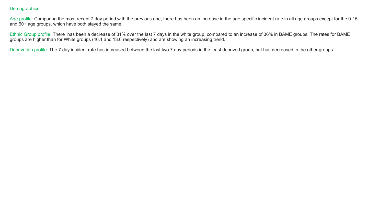### Demographics:

Age profile: Comparing the most recent 7 day period with the previous one, there has been an increase in the age specific incident rate in all age groups except for the and 60+ age groups, which have both stayed the same.

Ethnic Group profile: There has been a decrease of 31% over the last 7 days in the white group, compared to an increase of 36% in BAME groups. The rates for BAME groups are higher than for White groups (46.1 and 13.6 respectively) and are showing an increasing trend.

Deprivation profile: The 7 day incident rate has increased between the last two 7 day periods in the least deprived group, but has decreased in the other groups.

| e 0-15 |  |
|--------|--|
|        |  |
|        |  |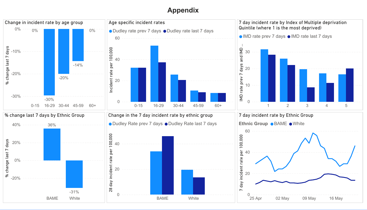